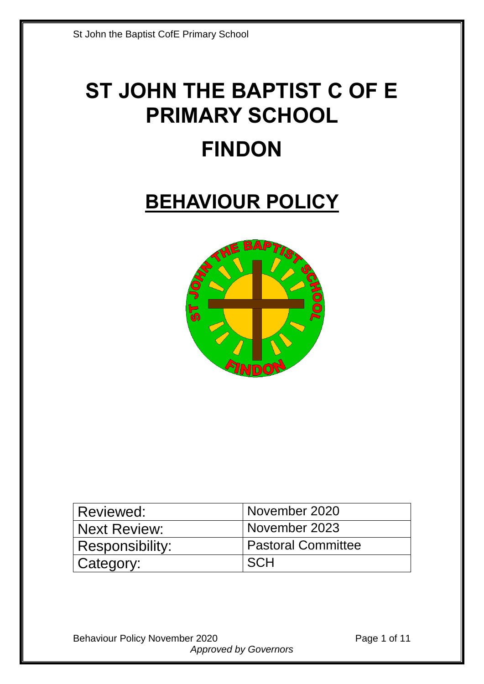# **ST JOHN THE BAPTIST C OF E PRIMARY SCHOOL FINDON**

## **BEHAVIOUR POLICY**



| Reviewed:           | November 2020      |
|---------------------|--------------------|
| <b>Next Review:</b> | November 2023      |
| Responsibility:     | Pastoral Committee |
| Category:           | <b>SCH</b>         |

Behaviour Policy November 2020 **Page 1 of 11** *Approved by Governors*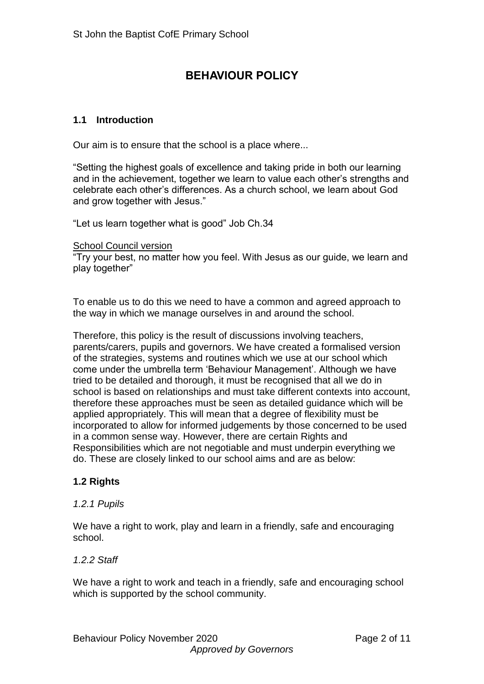#### **BEHAVIOUR POLICY**

#### **1.1 Introduction**

Our aim is to ensure that the school is a place where...

"Setting the highest goals of excellence and taking pride in both our learning and in the achievement, together we learn to value each other's strengths and celebrate each other's differences. As a church school, we learn about God and grow together with Jesus."

"Let us learn together what is good" Job Ch.34

School Council version

"Try your best, no matter how you feel. With Jesus as our guide, we learn and play together"

To enable us to do this we need to have a common and agreed approach to the way in which we manage ourselves in and around the school.

Therefore, this policy is the result of discussions involving teachers, parents/carers, pupils and governors. We have created a formalised version of the strategies, systems and routines which we use at our school which come under the umbrella term 'Behaviour Management'. Although we have tried to be detailed and thorough, it must be recognised that all we do in school is based on relationships and must take different contexts into account, therefore these approaches must be seen as detailed guidance which will be applied appropriately. This will mean that a degree of flexibility must be incorporated to allow for informed judgements by those concerned to be used in a common sense way. However, there are certain Rights and Responsibilities which are not negotiable and must underpin everything we do. These are closely linked to our school aims and are as below:

#### **1.2 Rights**

#### *1.2.1 Pupils*

We have a right to work, play and learn in a friendly, safe and encouraging school.

#### *1.2.2 Staff*

We have a right to work and teach in a friendly, safe and encouraging school which is supported by the school community.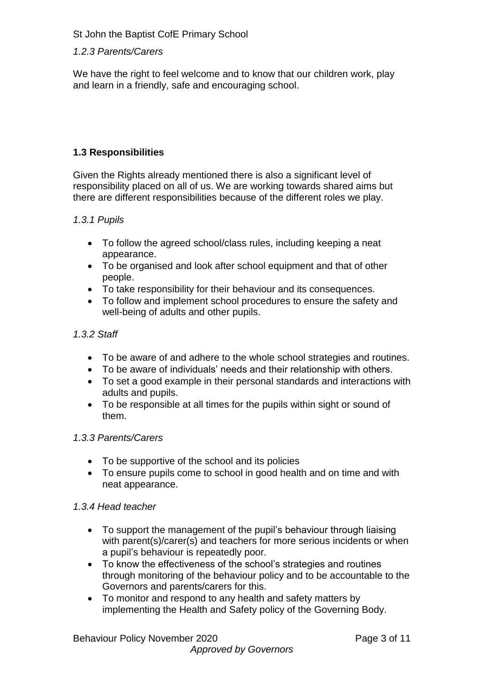#### *1.2.3 Parents/Carers*

We have the right to feel welcome and to know that our children work, play and learn in a friendly, safe and encouraging school.

#### **1.3 Responsibilities**

Given the Rights already mentioned there is also a significant level of responsibility placed on all of us. We are working towards shared aims but there are different responsibilities because of the different roles we play.

#### *1.3.1 Pupils*

- To follow the agreed school/class rules, including keeping a neat appearance.
- To be organised and look after school equipment and that of other people.
- To take responsibility for their behaviour and its consequences.
- To follow and implement school procedures to ensure the safety and well-being of adults and other pupils.

#### *1.3.2 Staff*

- To be aware of and adhere to the whole school strategies and routines.
- To be aware of individuals' needs and their relationship with others.
- To set a good example in their personal standards and interactions with adults and pupils.
- To be responsible at all times for the pupils within sight or sound of them.

#### *1.3.3 Parents/Carers*

- To be supportive of the school and its policies
- To ensure pupils come to school in good health and on time and with neat appearance.

#### *1.3.4 Head teacher*

- To support the management of the pupil's behaviour through liaising with parent(s)/carer(s) and teachers for more serious incidents or when a pupil's behaviour is repeatedly poor.
- To know the effectiveness of the school's strategies and routines through monitoring of the behaviour policy and to be accountable to the Governors and parents/carers for this.
- To monitor and respond to any health and safety matters by implementing the Health and Safety policy of the Governing Body.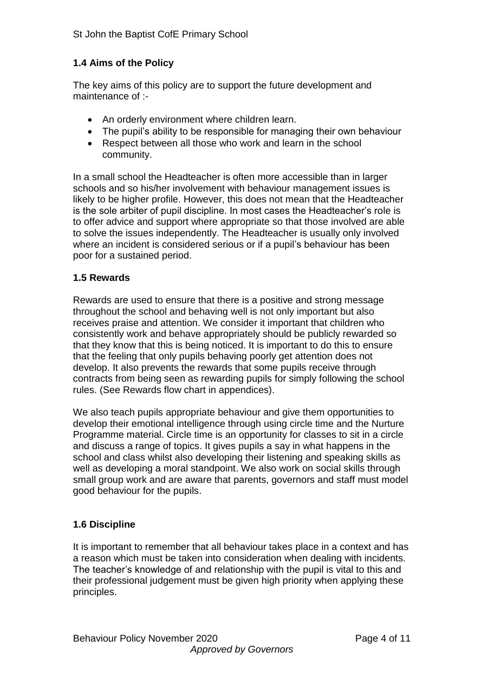#### **1.4 Aims of the Policy**

The key aims of this policy are to support the future development and maintenance of :-

- An orderly environment where children learn.
- The pupil's ability to be responsible for managing their own behaviour
- Respect between all those who work and learn in the school community.

In a small school the Headteacher is often more accessible than in larger schools and so his/her involvement with behaviour management issues is likely to be higher profile. However, this does not mean that the Headteacher is the sole arbiter of pupil discipline. In most cases the Headteacher's role is to offer advice and support where appropriate so that those involved are able to solve the issues independently. The Headteacher is usually only involved where an incident is considered serious or if a pupil's behaviour has been poor for a sustained period.

#### **1.5 Rewards**

Rewards are used to ensure that there is a positive and strong message throughout the school and behaving well is not only important but also receives praise and attention. We consider it important that children who consistently work and behave appropriately should be publicly rewarded so that they know that this is being noticed. It is important to do this to ensure that the feeling that only pupils behaving poorly get attention does not develop. It also prevents the rewards that some pupils receive through contracts from being seen as rewarding pupils for simply following the school rules. (See Rewards flow chart in appendices).

We also teach pupils appropriate behaviour and give them opportunities to develop their emotional intelligence through using circle time and the Nurture Programme material. Circle time is an opportunity for classes to sit in a circle and discuss a range of topics. It gives pupils a say in what happens in the school and class whilst also developing their listening and speaking skills as well as developing a moral standpoint. We also work on social skills through small group work and are aware that parents, governors and staff must model good behaviour for the pupils.

#### **1.6 Discipline**

It is important to remember that all behaviour takes place in a context and has a reason which must be taken into consideration when dealing with incidents. The teacher's knowledge of and relationship with the pupil is vital to this and their professional judgement must be given high priority when applying these principles.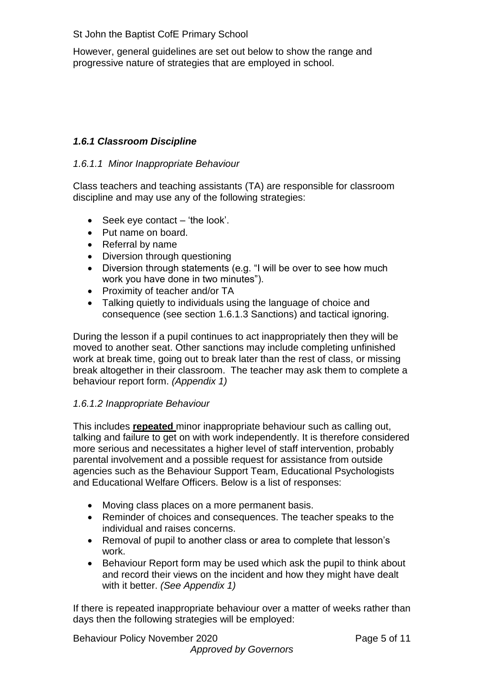However, general guidelines are set out below to show the range and progressive nature of strategies that are employed in school.

#### *1.6.1 Classroom Discipline*

#### *1.6.1.1 Minor Inappropriate Behaviour*

Class teachers and teaching assistants (TA) are responsible for classroom discipline and may use any of the following strategies:

- $\bullet$  Seek eye contact 'the look'.
- Put name on board.
- Referral by name
- Diversion through questioning
- Diversion through statements (e.g. "I will be over to see how much work you have done in two minutes").
- Proximity of teacher and/or TA
- Talking quietly to individuals using the language of choice and consequence (see section 1.6.1.3 Sanctions) and tactical ignoring.

During the lesson if a pupil continues to act inappropriately then they will be moved to another seat. Other sanctions may include completing unfinished work at break time, going out to break later than the rest of class, or missing break altogether in their classroom. The teacher may ask them to complete a behaviour report form. *(Appendix 1)*

#### *1.6.1.2 Inappropriate Behaviour*

This includes **repeated** minor inappropriate behaviour such as calling out, talking and failure to get on with work independently. It is therefore considered more serious and necessitates a higher level of staff intervention, probably parental involvement and a possible request for assistance from outside agencies such as the Behaviour Support Team, Educational Psychologists and Educational Welfare Officers. Below is a list of responses:

- Moving class places on a more permanent basis.
- Reminder of choices and consequences. The teacher speaks to the individual and raises concerns.
- Removal of pupil to another class or area to complete that lesson's work.
- Behaviour Report form may be used which ask the pupil to think about and record their views on the incident and how they might have dealt with it better. *(See Appendix 1)*

If there is repeated inappropriate behaviour over a matter of weeks rather than days then the following strategies will be employed:

Behaviour Policy November 2020 Page 5 of 11 *Approved by Governors*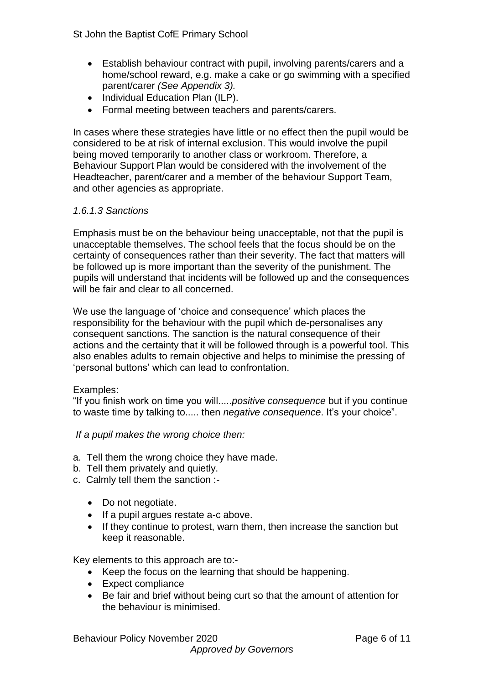- Establish behaviour contract with pupil, involving parents/carers and a home/school reward, e.g. make a cake or go swimming with a specified parent/carer *(See Appendix 3).*
- Individual Education Plan (ILP).
- Formal meeting between teachers and parents/carers.

In cases where these strategies have little or no effect then the pupil would be considered to be at risk of internal exclusion. This would involve the pupil being moved temporarily to another class or workroom. Therefore, a Behaviour Support Plan would be considered with the involvement of the Headteacher, parent/carer and a member of the behaviour Support Team, and other agencies as appropriate.

#### *1.6.1.3 Sanctions*

Emphasis must be on the behaviour being unacceptable, not that the pupil is unacceptable themselves. The school feels that the focus should be on the certainty of consequences rather than their severity. The fact that matters will be followed up is more important than the severity of the punishment. The pupils will understand that incidents will be followed up and the consequences will be fair and clear to all concerned.

We use the language of 'choice and consequence' which places the responsibility for the behaviour with the pupil which de-personalises any consequent sanctions. The sanction is the natural consequence of their actions and the certainty that it will be followed through is a powerful tool. This also enables adults to remain objective and helps to minimise the pressing of 'personal buttons' which can lead to confrontation.

#### Examples:

"If you finish work on time you will.....*positive consequence* but if you continue to waste time by talking to..... then *negative consequence*. It's your choice".

*If a pupil makes the wrong choice then:*

- a. Tell them the wrong choice they have made.
- b. Tell them privately and quietly.
- c. Calmly tell them the sanction :-
	- Do not negotiate.
	- If a pupil argues restate a-c above.
	- If they continue to protest, warn them, then increase the sanction but keep it reasonable.

Key elements to this approach are to:-

- Keep the focus on the learning that should be happening.
- Expect compliance
- Be fair and brief without being curt so that the amount of attention for the behaviour is minimised.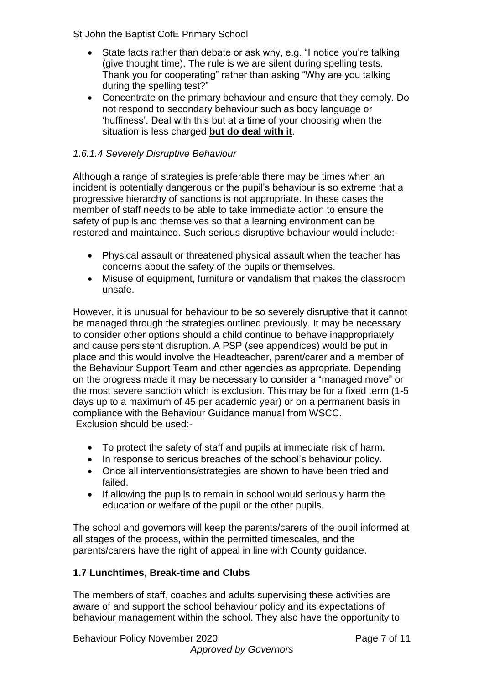- State facts rather than debate or ask why, e.g. "I notice you're talking (give thought time). The rule is we are silent during spelling tests. Thank you for cooperating" rather than asking "Why are you talking during the spelling test?"
- Concentrate on the primary behaviour and ensure that they comply. Do not respond to secondary behaviour such as body language or 'huffiness'. Deal with this but at a time of your choosing when the situation is less charged **but do deal with it**.

#### *1.6.1.4 Severely Disruptive Behaviour*

Although a range of strategies is preferable there may be times when an incident is potentially dangerous or the pupil's behaviour is so extreme that a progressive hierarchy of sanctions is not appropriate. In these cases the member of staff needs to be able to take immediate action to ensure the safety of pupils and themselves so that a learning environment can be restored and maintained. Such serious disruptive behaviour would include:-

- Physical assault or threatened physical assault when the teacher has concerns about the safety of the pupils or themselves.
- Misuse of equipment, furniture or vandalism that makes the classroom unsafe.

However, it is unusual for behaviour to be so severely disruptive that it cannot be managed through the strategies outlined previously. It may be necessary to consider other options should a child continue to behave inappropriately and cause persistent disruption. A PSP (see appendices) would be put in place and this would involve the Headteacher, parent/carer and a member of the Behaviour Support Team and other agencies as appropriate. Depending on the progress made it may be necessary to consider a "managed move" or the most severe sanction which is exclusion. This may be for a fixed term (1-5 days up to a maximum of 45 per academic year) or on a permanent basis in compliance with the Behaviour Guidance manual from WSCC. Exclusion should be used:-

- To protect the safety of staff and pupils at immediate risk of harm.
- In response to serious breaches of the school's behaviour policy.
- Once all interventions/strategies are shown to have been tried and failed.
- If allowing the pupils to remain in school would seriously harm the education or welfare of the pupil or the other pupils.

The school and governors will keep the parents/carers of the pupil informed at all stages of the process, within the permitted timescales, and the parents/carers have the right of appeal in line with County guidance.

#### **1.7 Lunchtimes, Break-time and Clubs**

The members of staff, coaches and adults supervising these activities are aware of and support the school behaviour policy and its expectations of behaviour management within the school. They also have the opportunity to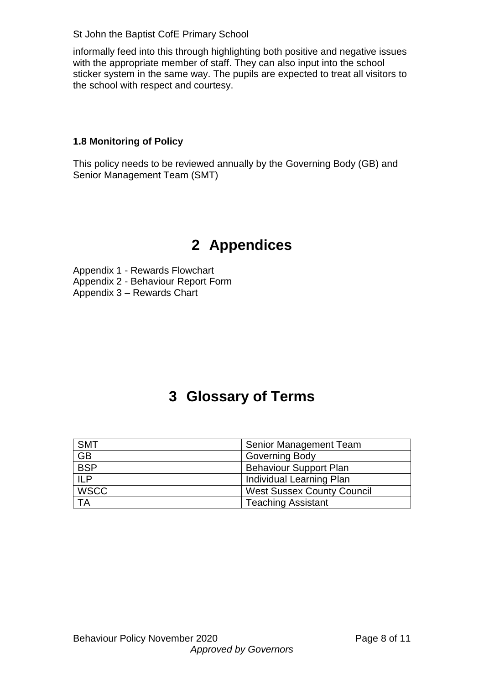informally feed into this through highlighting both positive and negative issues with the appropriate member of staff. They can also input into the school sticker system in the same way. The pupils are expected to treat all visitors to the school with respect and courtesy.

#### **1.8 Monitoring of Policy**

This policy needs to be reviewed annually by the Governing Body (GB) and Senior Management Team (SMT)

## **2 Appendices**

Appendix 1 - Rewards Flowchart Appendix 2 - Behaviour Report Form Appendix 3 – Rewards Chart

## **3 Glossary of Terms**

| <b>SMT</b>  | Senior Management Team            |  |
|-------------|-----------------------------------|--|
| <b>GB</b>   | <b>Governing Body</b>             |  |
| <b>BSP</b>  | <b>Behaviour Support Plan</b>     |  |
| ILP         | Individual Learning Plan          |  |
| <b>WSCC</b> | <b>West Sussex County Council</b> |  |
| ТA          | <b>Teaching Assistant</b>         |  |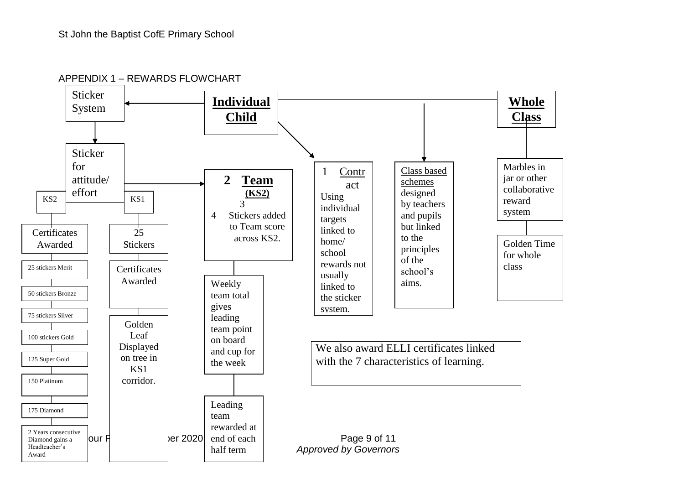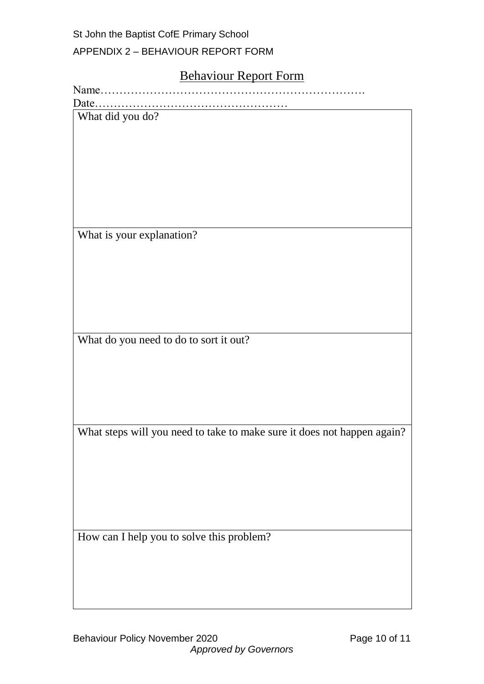APPENDIX 2 – BEHAVIOUR REPORT FORM

#### Behaviour Report Form

What did you do?

What is your explanation?

What do you need to do to sort it out?

What steps will you need to take to make sure it does not happen again?

How can I help you to solve this problem?